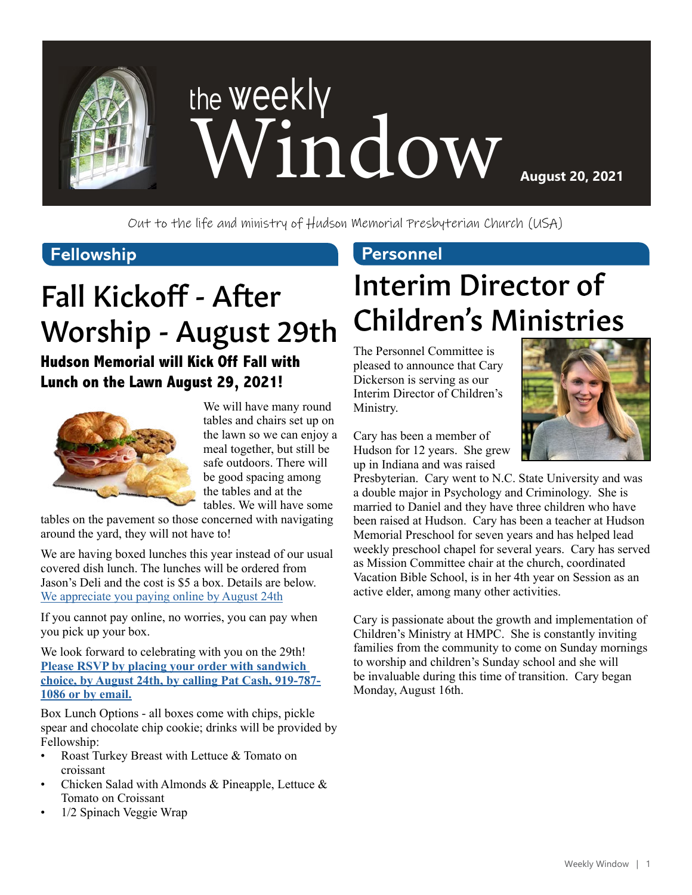

Out to the life and ministry of Hudson Memorial Presbyterian Church (USA)

#### **Fellowship Personnel**

### Fall Kickoff - After Worship - August 29th

#### **Hudson Memorial will Kick Off Fall with Lunch on the Lawn August 29, 2021!**



We will have many round tables and chairs set up on the lawn so we can enjoy a meal together, but still be safe outdoors. There will be good spacing among the tables and at the tables. We will have some

tables on the pavement so those concerned with navigating around the yard, they will not have to!

We are having boxed lunches this year instead of our usual covered dish lunch. The lunches will be ordered from Jason's Deli and the cost is \$5 a box. Details are below. [We appreciate you paying online by August 24th](https://www.eservicepayments.com/cgi-bin/Vanco_ver3.vps?appver3=Fi1giPL8kwX_Oe1AO50jRnQ574HZh5kFEHVJ6e5We_Us4NSQukCYDzKLUtTTUlsf2EvVVAEjqawDomKT1pbouTsRltlX7QEmZN4jxtbsYBc=&ver=3)

If you cannot pay online, no worries, you can pay when you pick up your box.

We look forward to celebrating with you on the 29th! **[Please RSVP by placing your order with sandwich](mailto:pcash%40hmpc.org?subject=)  [choice, by August 24th, by calling Pat Cash, 919-787-](mailto:pcash%40hmpc.org?subject=) [1086 or by email.](mailto:pcash%40hmpc.org?subject=)**

Box Lunch Options - all boxes come with chips, pickle spear and chocolate chip cookie; drinks will be provided by Fellowship:

- Roast Turkey Breast with Lettuce & Tomato on croissant
- Chicken Salad with Almonds & Pineapple, Lettuce & Tomato on Croissant
- 1/2 Spinach Veggie Wrap

### Interim Director of Children's Ministries

The Personnel Committee is pleased to announce that Cary Dickerson is serving as our Interim Director of Children's Ministry.

Cary has been a member of Hudson for 12 years. She grew up in Indiana and was raised



Presbyterian. Cary went to N.C. State University and was a double major in Psychology and Criminology. She is married to Daniel and they have three children who have been raised at Hudson. Cary has been a teacher at Hudson Memorial Preschool for seven years and has helped lead weekly preschool chapel for several years. Cary has served as Mission Committee chair at the church, coordinated Vacation Bible School, is in her 4th year on Session as an active elder, among many other activities.

Cary is passionate about the growth and implementation of Children's Ministry at HMPC. She is constantly inviting families from the community to come on Sunday mornings to worship and children's Sunday school and she will be invaluable during this time of transition. Cary began Monday, August 16th.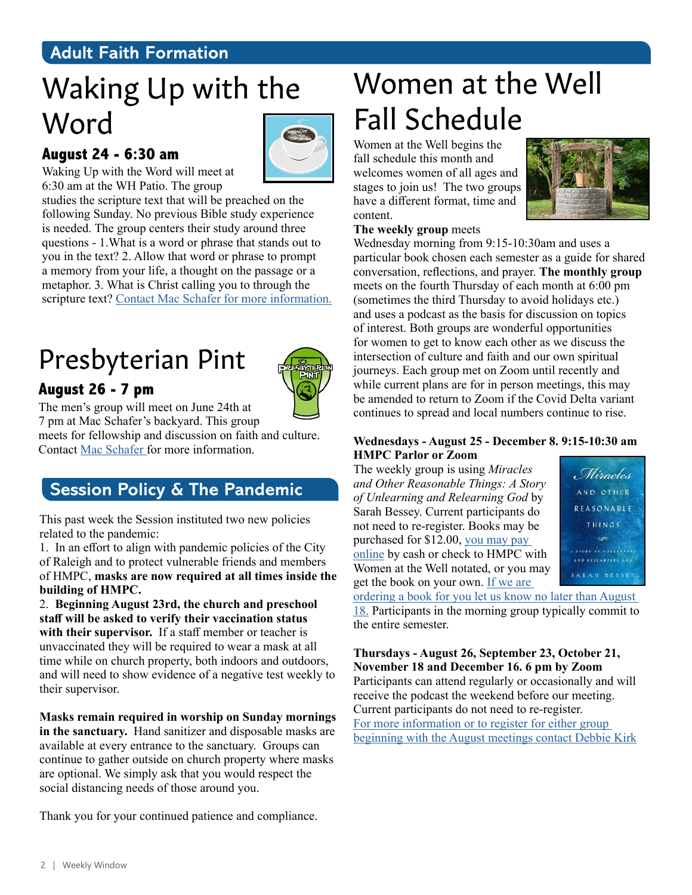#### **Adult Faith Formation**

### Waking Up with the Word

#### **August 24 - 6:30 am**



Waking Up with the Word will meet at 6:30 am at the WH Patio. The group

studies the scripture text that will be preached on the following Sunday. No previous Bible study experience is needed. The group centers their study around three questions - 1.What is a word or phrase that stands out to you in the text? 2. Allow that word or phrase to prompt a memory from your life, a thought on the passage or a metaphor. 3. What is Christ calling you to through the scripture text? [Contact Mac Schafer for more information.](mailto:mschafer%40hmpc.org?subject=)

### Presbyterian Pint



**August 26 - 7 pm** The men's group will meet on June 24th at

7 pm at Mac Schafer's backyard. This group meets for fellowship and discussion on faith and culture. Contact [Mac Schafer f](mailto:mschafer%40hmpc.org?subject=)or more information.

#### **Session Policy & The Pandemic**

This past week the Session instituted two new policies related to the pandemic:

1. In an effort to align with pandemic policies of the City of Raleigh and to protect vulnerable friends and members of HMPC, **masks are now required at all times inside the building of HMPC.** 

2. **Beginning August 23rd, the church and preschool staff will be asked to verify their vaccination status**  with their supervisor. If a staff member or teacher is unvaccinated they will be required to wear a mask at all time while on church property, both indoors and outdoors, and will need to show evidence of a negative test weekly to their supervisor.

**Masks remain required in worship on Sunday mornings in the sanctuary.** Hand sanitizer and disposable masks are available at every entrance to the sanctuary. Groups can continue to gather outside on church property where masks are optional. We simply ask that you would respect the social distancing needs of those around you.

Thank you for your continued patience and compliance.

### Women at the Well Fall Schedule

Women at the Well begins the fall schedule this month and welcomes women of all ages and stages to join us! The two groups have a different format, time and content.



#### **The weekly group** meets

Wednesday morning from 9:15-10:30am and uses a particular book chosen each semester as a guide for shared conversation, reflections, and prayer. **The monthly group** meets on the fourth Thursday of each month at 6:00 pm (sometimes the third Thursday to avoid holidays etc.) and uses a podcast as the basis for discussion on topics of interest. Both groups are wonderful opportunities for women to get to know each other as we discuss the intersection of culture and faith and our own spiritual journeys. Each group met on Zoom until recently and while current plans are for in person meetings, this may be amended to return to Zoom if the Covid Delta variant continues to spread and local numbers continue to rise.

#### **Wednesdays - August 25 - December 8. 9:15-10:30 am HMPC Parlor or Zoom**

The weekly group is using *Miracles and Other Reasonable Things: A Story of Unlearning and Relearning God* by Sarah Bessey. Current participants do not need to re-register. Books may be purchased for \$12.00, [you may pay](mailto:https://www.eservicepayments.com/cgi-bin/Vanco_ver3.vps%3Fappver3%3DFi1giPL8kwX_Oe1AO50jRnQ574HZh5kFEHVJ6e5We_Us4NSQukCYDzKLUtTTUlsf2EvVVAEjqawDomKT1pbouTsRltlX7QEmZN4jxtbsYBc%3D%26ver%3D3?subject=)  [online](mailto:https://www.eservicepayments.com/cgi-bin/Vanco_ver3.vps%3Fappver3%3DFi1giPL8kwX_Oe1AO50jRnQ574HZh5kFEHVJ6e5We_Us4NSQukCYDzKLUtTTUlsf2EvVVAEjqawDomKT1pbouTsRltlX7QEmZN4jxtbsYBc%3D%26ver%3D3?subject=) by cash or check to HMPC with Women at the Well notated, or you may get the book on your own. If we are



[ordering a book for you let us know no later than August](mailto:pcash%40hmpc.org?subject=)  [18.](mailto:pcash%40hmpc.org?subject=) Participants in the morning group typically commit to the entire semester.

**Thursdays - August 26, September 23, October 21, November 18 and December 16. 6 pm by Zoom** Participants can attend regularly or occasionally and will receive the podcast the weekend before our meeting. Current participants do not need to re-register. [For more information or to register for either group](mailto:dkirk%40hmpc.org?subject=)  [beginning with the August meetings contact Debbie Kirk](mailto:dkirk%40hmpc.org?subject=)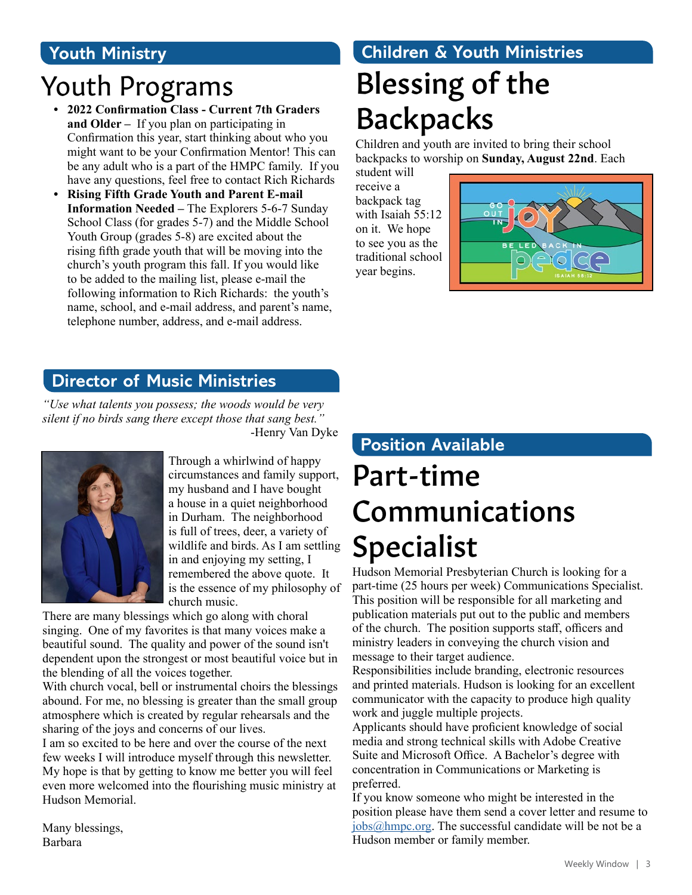### **Youth Ministry**

### Youth Programs Blessing of the

- **• 2022 Confirmation Class Current 7th Graders and Older –** If you plan on participating in Confirmation this year, start thinking about who you might want to be your Confirmation Mentor! This can be any adult who is a part of the HMPC family. If you have any questions, feel free to contact Rich Richards
- **• Rising Fifth Grade Youth and Parent E-mail Information Needed –** The Explorers 5-6-7 Sunday School Class (for grades 5-7) and the Middle School Youth Group (grades 5-8) are excited about the rising fifth grade youth that will be moving into the church's youth program this fall. If you would like to be added to the mailing list, please e-mail the following information to Rich Richards: the youth's name, school, and e-mail address, and parent's name, telephone number, address, and e-mail address.

## **Children & Youth Ministries**

# Backpacks

Children and youth are invited to bring their school backpacks to worship on **Sunday, August 22nd**. Each

student will receive a backpack tag with Isaiah 55:12 on it. We hope to see you as the traditional school year begins.



### **Director of Music Ministries**

*"Use what talents you possess; the woods would be very silent if no birds sang there except those that sang best."*  -Henry Van Dyke



Through a whirlwind of happy circumstances and family support, my husband and I have bought a house in a quiet neighborhood in Durham. The neighborhood is full of trees, deer, a variety of wildlife and birds. As I am settling in and enjoying my setting, I remembered the above quote. It is the essence of my philosophy of church music.

There are many blessings which go along with choral singing. One of my favorites is that many voices make a beautiful sound. The quality and power of the sound isn't dependent upon the strongest or most beautiful voice but in the blending of all the voices together.

With church vocal, bell or instrumental choirs the blessings abound. For me, no blessing is greater than the small group atmosphere which is created by regular rehearsals and the sharing of the joys and concerns of our lives.

I am so excited to be here and over the course of the next few weeks I will introduce myself through this newsletter. My hope is that by getting to know me better you will feel even more welcomed into the flourishing music ministry at Hudson Memorial.

### **Position Available**

### Part-time Communications Specialist

Hudson Memorial Presbyterian Church is looking for a part-time (25 hours per week) Communications Specialist. This position will be responsible for all marketing and publication materials put out to the public and members of the church. The position supports staff, officers and ministry leaders in conveying the church vision and message to their target audience.

Responsibilities include branding, electronic resources and printed materials. Hudson is looking for an excellent communicator with the capacity to produce high quality work and juggle multiple projects.

Applicants should have proficient knowledge of social media and strong technical skills with Adobe Creative Suite and Microsoft Office. A Bachelor's degree with concentration in Communications or Marketing is preferred.

If you know someone who might be interested in the position please have them send a cover letter and resume to [jobs@hmpc.org.](mailto:jobs%40hmpc.org?subject=) The successful candidate will be not be a Hudson member or family member.

Many blessings, Barbara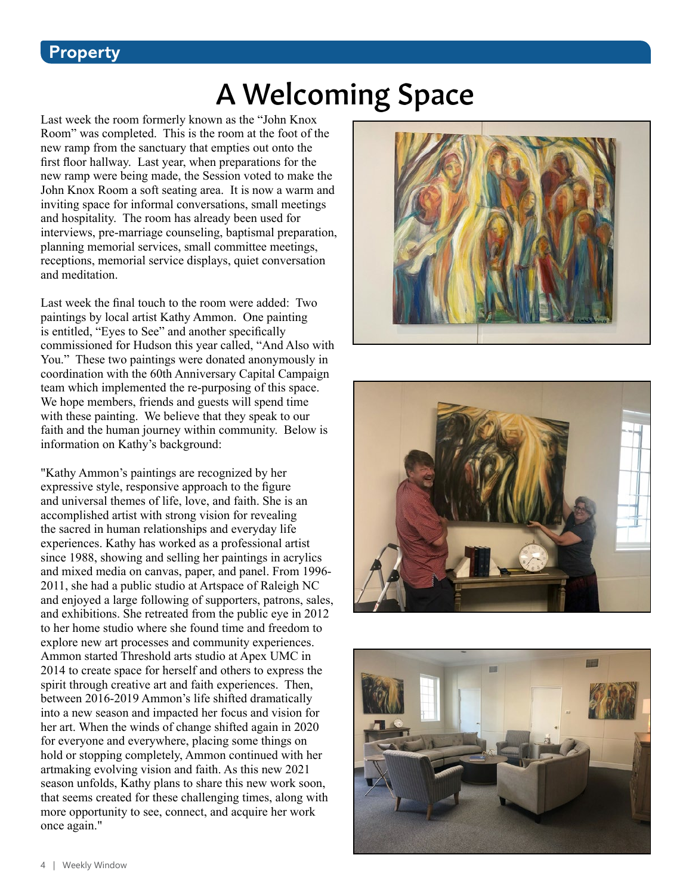#### **Property**

### A Welcoming Space

Last week the room formerly known as the "John Knox Room" was completed. This is the room at the foot of the new ramp from the sanctuary that empties out onto the first floor hallway. Last year, when preparations for the new ramp were being made, the Session voted to make the John Knox Room a soft seating area. It is now a warm and inviting space for informal conversations, small meetings and hospitality. The room has already been used for interviews, pre-marriage counseling, baptismal preparation, planning memorial services, small committee meetings, receptions, memorial service displays, quiet conversation and meditation.

Last week the final touch to the room were added: Two paintings by local artist Kathy Ammon. One painting is entitled, "Eyes to See" and another specifically commissioned for Hudson this year called, "And Also with You." These two paintings were donated anonymously in coordination with the 60th Anniversary Capital Campaign team which implemented the re-purposing of this space. We hope members, friends and guests will spend time with these painting. We believe that they speak to our faith and the human journey within community. Below is information on Kathy's background:

"Kathy Ammon's paintings are recognized by her expressive style, responsive approach to the figure and universal themes of life, love, and faith. She is an accomplished artist with strong vision for revealing the sacred in human relationships and everyday life experiences. Kathy has worked as a professional artist since 1988, showing and selling her paintings in acrylics and mixed media on canvas, paper, and panel. From 1996- 2011, she had a public studio at Artspace of Raleigh NC and enjoyed a large following of supporters, patrons, sales, and exhibitions. She retreated from the public eye in 2012 to her home studio where she found time and freedom to explore new art processes and community experiences. Ammon started Threshold arts studio at Apex UMC in 2014 to create space for herself and others to express the spirit through creative art and faith experiences. Then, between 2016-2019 Ammon's life shifted dramatically into a new season and impacted her focus and vision for her art. When the winds of change shifted again in 2020 for everyone and everywhere, placing some things on hold or stopping completely, Ammon continued with her artmaking evolving vision and faith. As this new 2021 season unfolds, Kathy plans to share this new work soon, that seems created for these challenging times, along with more opportunity to see, connect, and acquire her work once again."





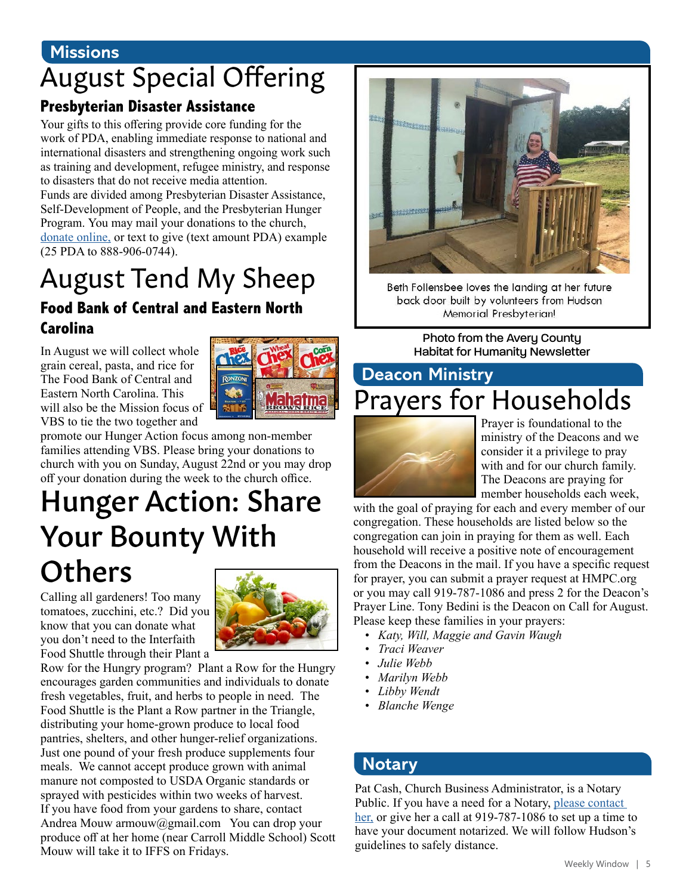#### **Missions**

### August Special Offering

#### **Presbyterian Disaster Assistance**

Your gifts to this offering provide core funding for the work of PDA, enabling immediate response to national and international disasters and strengthening ongoing work such as training and development, refugee ministry, and response to disasters that do not receive media attention.

Funds are divided among Presbyterian Disaster Assistance, Self-Development of People, and the Presbyterian Hunger Program. You may mail your donations to the church, [donate online](https://www.eservicepayments.com/cgi-bin/Vanco_ver3.vps?appver3=Fi1giPL8kwX_Oe1AO50jRnQ574HZh5kFEHVJ6e5We_Us4NSQukCYDzKLUtTTUlsf2EvVVAEjqawDomKT1pbouTsRltlX7QEmZN4jxtbsYBc=&ver=3), or text to give (text amount PDA) example (25 PDA to 888-906-0744).

### August Tend My Sheep

#### **Food Bank of Central and Eastern North Carolina**

In August we will collect whole grain cereal, pasta, and rice for The Food Bank of Central and Eastern North Carolina. This will also be the Mission focus of VBS to tie the two together and



promote our Hunger Action focus among non-member families attending VBS. Please bring your donations to church with you on Sunday, August 22nd or you may drop off your donation during the week to the church office.

### Hunger Action: Share Your Bounty With **Others**

Calling all gardeners! Too many tomatoes, zucchini, etc.? Did you know that you can donate what you don't need to the Interfaith Food Shuttle through their Plant a



Row for the Hungry program? Plant a Row for the Hungry encourages garden communities and individuals to donate fresh vegetables, fruit, and herbs to people in need. The Food Shuttle is the Plant a Row partner in the Triangle, distributing your home-grown produce to local food pantries, shelters, and other hunger-relief organizations. Just one pound of your fresh produce supplements four meals. We cannot accept produce grown with animal manure not composted to USDA Organic standards or sprayed with pesticides within two weeks of harvest. If you have food from your gardens to share, contact Andrea Mouw armouw@gmail.com You can drop your produce off at her home (near Carroll Middle School) Scott Mouw will take it to IFFS on Fridays.



Beth Follensbee loves the landing at her future back door built by volunteers from Hudson Memorial Presbyterian!

Photo from the Avery County Habitat for Humanity Newsletter

### **Deacon Ministry** Prayers for Households



Prayer is foundational to the ministry of the Deacons and we consider it a privilege to pray with and for our church family. The Deacons are praying for member households each week,

with the goal of praying for each and every member of our congregation. These households are listed below so the congregation can join in praying for them as well. Each household will receive a positive note of encouragement from the Deacons in the mail. If you have a specific request for prayer, you can submit a prayer request at HMPC.org or you may call 919-787-1086 and press 2 for the Deacon's Prayer Line. Tony Bedini is the Deacon on Call for August. Please keep these families in your prayers:

- *• Katy, Will, Maggie and Gavin Waugh*
- *• Traci Weaver*
- *• Julie Webb*
- *• Marilyn Webb*
- *• Libby Wendt*
- *• Blanche Wenge*

#### **Notary**

Pat Cash, Church Business Administrator, is a Notary Public. If you have a need for a Notary, [please contact](mailto:pcash%40hmpc.org?subject=)  [her,](mailto:pcash%40hmpc.org?subject=) or give her a call at 919-787-1086 to set up a time to have your document notarized. We will follow Hudson's guidelines to safely distance.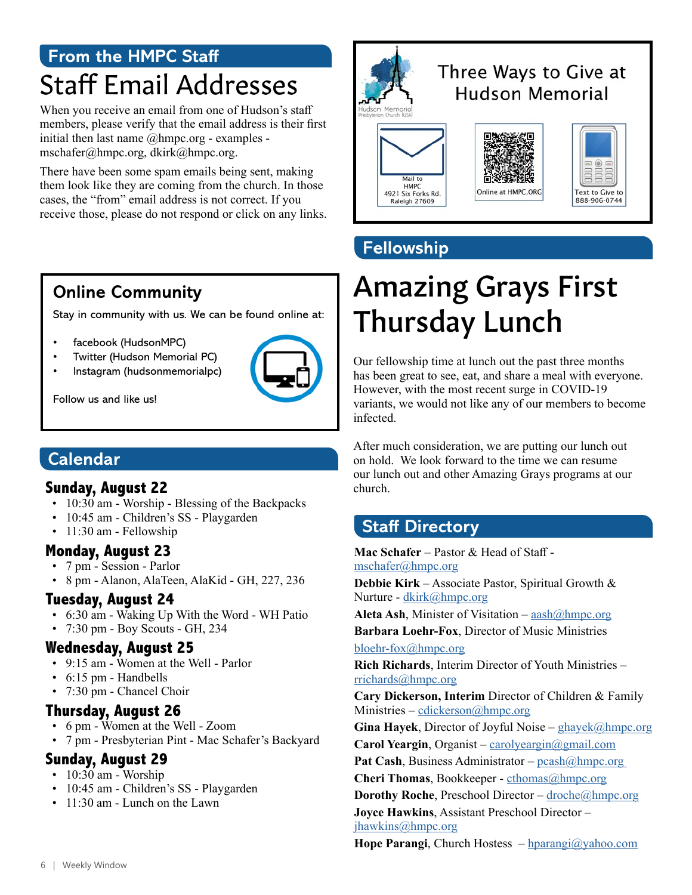### **From the HMPC Staff** Staff Email Addresses

When you receive an email from one of Hudson's staff members, please verify that the email address is their first initial then last name @hmpc.org - examples mschafer@hmpc.org, dkirk@hmpc.org.

There have been some spam emails being sent, making them look like they are coming from the church. In those cases, the "from" email address is not correct. If you receive those, please do not respond or click on any links.



### Three Ways to Give at **Hudson Memorial**







### **Fellowship**

### Amazing Grays First Thursday Lunch

Our fellowship time at lunch out the past three months has been great to see, eat, and share a meal with everyone. However, with the most recent surge in COVID-19 variants, we would not like any of our members to become infected.

After much consideration, we are putting our lunch out on hold. We look forward to the time we can resume our lunch out and other Amazing Grays programs at our church.

### **Staff Directory**

**Mac Schafer** – Pastor & Head of Staff [mschafer@hmpc.org](mailto:mschafer%40hmpc.org?subject=) **Debbie Kirk** – Associate Pastor, Spiritual Growth &

Nurture - [dkirk@hmpc.org](mailto:dkirk%40hmpc.org?subject=)

Aleta Ash, Minister of Visitation – [aash@hmpc.org](mailto:aash%40hmpc.org?subject=) **Barbara Loehr-Fox**, Director of Music Ministries

bloehr-fox[@hmpc.org](mailto:pchoplin%40hmpc.org?subject=)

**Rich Richards**, Interim Director of Youth Ministries – [rrichards@hmpc.org](mailto:rrichards%40hmpc.org?subject=)

**Cary Dickerson, Interim** Director of Children & Family Ministries – cdickerson[@hmpc.org](mailto:rmcconnell%40hmpc.org?subject=)

**Gina Hayek**, Director of Joyful Noise – [ghayek@hmpc.org](mailto:ghayek%40hmpc.org?subject=) **Carol Yeargin**, Organist – [carolyeargin@gmail.com](mailto:carolyeargin%40gmail.com?subject=)

Pat Cash, Business Administrator – pcash@hmpc.org

**Cheri Thomas**, Bookkeeper - [cthomas@hmpc.org](mailto:cthomas%40hmpc.org?subject=)

**Dorothy Roche**, Preschool Director – [droche@hmpc.org](mailto:droche%40hmpc.org?subject=)

**Joyce Hawkins**, Assistant Preschool Director – [jhawkins@hmpc.org](mailto:jhawkins%40hmpc.org?subject=)

**Hope Parangi**, Church Hostess – [hparangi@yahoo.com](mailto:hparangi%40yahoo.com?subject=)

### **Online Community**

Stay in community with us. We can be found online at:

- facebook (HudsonMPC)
- Twitter (Hudson Memorial PC)
- Instagram (hudsonmemorialpc)



Follow us and like us!

#### **Calendar**

#### **Sunday, August 22**

- 10:30 am Worship Blessing of the Backpacks
- 10:45 am Children's SS Playgarden
- 11:30 am Fellowship

#### **Monday, August 23**

- 7 pm Session Parlor
- 8 pm Alanon, AlaTeen, AlaKid GH, 227, 236

#### **Tuesday, August 24**

- 6:30 am Waking Up With the Word WH Patio
- 7:30 pm Boy Scouts GH, 234

### **Wednesday, August 25**

- 9:15 am Women at the Well Parlor
- 6:15 pm Handbells
- 7:30 pm Chancel Choir

### **Thursday, August 26**

- 6 pm Women at the Well Zoom
- 7 pm Presbyterian Pint Mac Schafer's Backyard

### **Sunday, August 29**

- 10:30 am Worship
- 10:45 am Children's SS Playgarden
- 11:30 am Lunch on the Lawn